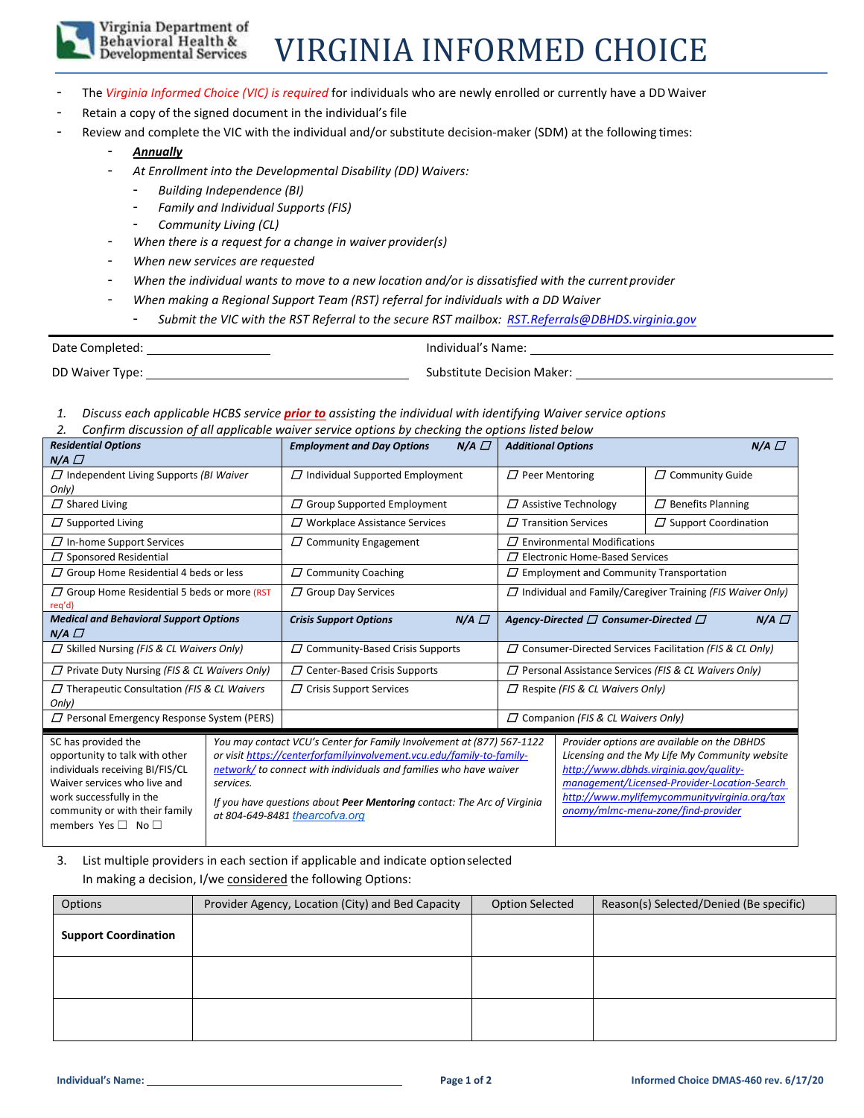

### Virginia Department of Behavioral Health &<br>Developmental Services

## VIRGINIA INFORMED CHOICE

- The Virginia Informed Choice (VIC) is required for individuals who are newly enrolled or currently have a DD Waiver
- Retain a copy of the signed document in the individual's file
	- Review and complete the VIC with the individual and/or substitute decision-maker (SDM) at the following times:
		- *Annually*
		- *At Enrollment into the Developmental Disability (DD) Waivers:*
			- *Building Independence (BI)*
			- *Family and Individual Supports (FIS)*
			- *Community Living (CL)*
		- *When there is a request for a change in waiver provider(s)*
		- *When new services are requested*
		- *When the individual wants to move to a new location and/or is dissatisfied with the current provider*
		- *When making a Regional Support Team (RST) referral for individuals with a DD Waiver*

- *Submit the VIC with the RST Referral to the secure RST mailbox: [RST.Referrals@DBHDS.virginia.gov](mailto:RST.Referrals@DBHDS.virginia.gov)*

| Date Completed: | Individual's Name:                |
|-----------------|-----------------------------------|
| DD Waiver Type: | <b>Substitute Decision Maker:</b> |

- *1. Discuss each applicable HCBS service prior to assisting the individual with identifying Waiver service options*
- *2. Confirm discussion of all applicable waiver service options by checking the options listed below*

| <b>Residential Options</b>                                                                                                                                                                                             |           | $N/A$ $\Box$<br><b>Employment and Day Options</b>                                                                                                                                                                                                                                                                                | <b>Additional Options</b>                                                                                                                                                                                                                                                     |                                                             | $N/A$ $\Box$             |
|------------------------------------------------------------------------------------------------------------------------------------------------------------------------------------------------------------------------|-----------|----------------------------------------------------------------------------------------------------------------------------------------------------------------------------------------------------------------------------------------------------------------------------------------------------------------------------------|-------------------------------------------------------------------------------------------------------------------------------------------------------------------------------------------------------------------------------------------------------------------------------|-------------------------------------------------------------|--------------------------|
| $N/A$ $\Box$                                                                                                                                                                                                           |           |                                                                                                                                                                                                                                                                                                                                  |                                                                                                                                                                                                                                                                               |                                                             |                          |
| $\Box$ Independent Living Supports (BI Waiver<br>Only)                                                                                                                                                                 |           | $\Box$ Individual Supported Employment                                                                                                                                                                                                                                                                                           | $\Box$ Peer Mentoring                                                                                                                                                                                                                                                         |                                                             | $\Box$ Community Guide   |
| $\Box$ Shared Living                                                                                                                                                                                                   |           | $\Box$ Group Supported Employment                                                                                                                                                                                                                                                                                                |                                                                                                                                                                                                                                                                               | $\Box$ Assistive Technology                                 | $\Box$ Benefits Planning |
| $\Box$ Supported Living                                                                                                                                                                                                |           | $\Box$ Workplace Assistance Services                                                                                                                                                                                                                                                                                             |                                                                                                                                                                                                                                                                               | $\Box$ Transition Services<br>$\Box$ Support Coordination   |                          |
| $\Box$ In-home Support Services                                                                                                                                                                                        |           | $\Box$ Community Engagement                                                                                                                                                                                                                                                                                                      | $\varPi$ Environmental Modifications                                                                                                                                                                                                                                          |                                                             |                          |
| $\Box$ Sponsored Residential                                                                                                                                                                                           |           |                                                                                                                                                                                                                                                                                                                                  | $\Box$ Electronic Home-Based Services                                                                                                                                                                                                                                         |                                                             |                          |
| $\Box$ Group Home Residential 4 beds or less                                                                                                                                                                           |           | $\Box$ Community Coaching                                                                                                                                                                                                                                                                                                        | $\Box$ Employment and Community Transportation                                                                                                                                                                                                                                |                                                             |                          |
| $\Box$ Group Home Residential 5 beds or more (RST<br>req'd)                                                                                                                                                            |           | $\Box$ Group Day Services                                                                                                                                                                                                                                                                                                        | $\Box$ Individual and Family/Caregiver Training (FIS Waiver Only)                                                                                                                                                                                                             |                                                             |                          |
| <b>Medical and Behavioral Support Options</b><br>$N/A$ $\Box$                                                                                                                                                          |           | $N/A$ $\Box$<br><b>Crisis Support Options</b>                                                                                                                                                                                                                                                                                    | Agency-Directed $\Box$ Consumer-Directed $\Box$<br>$N/A$ $\Box$                                                                                                                                                                                                               |                                                             |                          |
| $\Box$ Skilled Nursing (FIS & CL Waivers Only)                                                                                                                                                                         |           | $\Box$ Community-Based Crisis Supports                                                                                                                                                                                                                                                                                           | $\Box$ Consumer-Directed Services Facilitation (FIS & CL Only)                                                                                                                                                                                                                |                                                             |                          |
| $\Box$ Private Duty Nursing (FIS & CL Waivers Only)                                                                                                                                                                    |           | $\Box$ Center-Based Crisis Supports                                                                                                                                                                                                                                                                                              |                                                                                                                                                                                                                                                                               | $\Box$ Personal Assistance Services (FIS & CL Waivers Only) |                          |
| $\Box$ Therapeutic Consultation (FIS & CL Waivers<br>Only)                                                                                                                                                             |           | $\Box$ Crisis Support Services                                                                                                                                                                                                                                                                                                   | $\Box$ Respite (FIS & CL Waivers Only)                                                                                                                                                                                                                                        |                                                             |                          |
| $\Box$ Personal Emergency Response System (PERS)                                                                                                                                                                       |           |                                                                                                                                                                                                                                                                                                                                  | $\Box$ Companion (FIS & CL Waivers Only)                                                                                                                                                                                                                                      |                                                             |                          |
| SC has provided the<br>opportunity to talk with other<br>individuals receiving BI/FIS/CL<br>Waiver services who live and<br>work successfully in the<br>community or with their family<br>members Yes $\Box$ No $\Box$ | services. | You may contact VCU's Center for Family Involvement at (877) 567-1122<br>or visit https://centerforfamilyinvolvement.vcu.edu/family-to-family-<br>network/ to connect with individuals and families who have waiver<br>If you have questions about Peer Mentoring contact: The Arc of Virginia<br>at 804-649-8481 thearcofva.org | Provider options are available on the DBHDS<br>Licensing and the My Life My Community website<br>http://www.dbhds.virginia.gov/guality-<br>management/Licensed-Provider-Location-Search<br>http://www.mylifemycommunityvirginia.org/tax<br>onomy/mlmc-menu-zone/find-provider |                                                             |                          |

### 3. List multiple providers in each section if applicable and indicate optionselected In making a decision, I/we considered the following Options:

| Options                     | Provider Agency, Location (City) and Bed Capacity | <b>Option Selected</b> | Reason(s) Selected/Denied (Be specific) |
|-----------------------------|---------------------------------------------------|------------------------|-----------------------------------------|
| <b>Support Coordination</b> |                                                   |                        |                                         |
|                             |                                                   |                        |                                         |
|                             |                                                   |                        |                                         |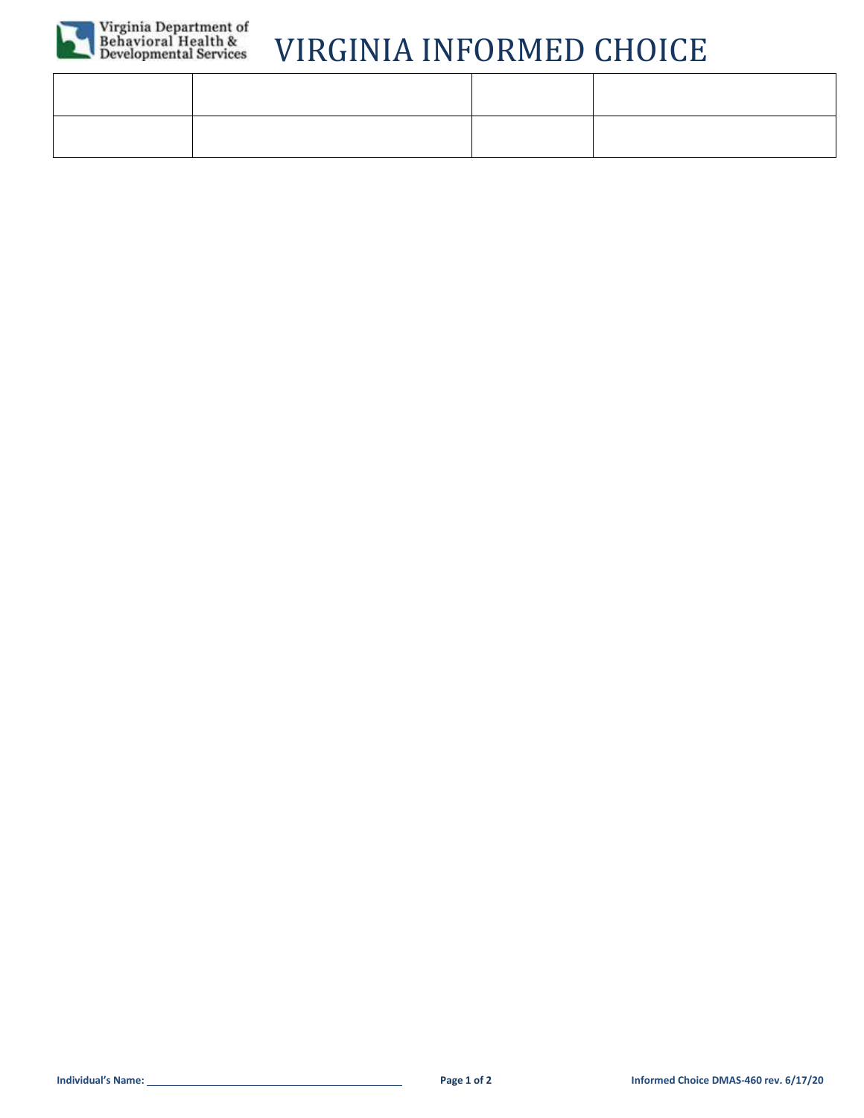

# Virginia Department of<br>Behavioral Health &<br>Developmental Services

## VIRGINIA INFORMED CHOICE